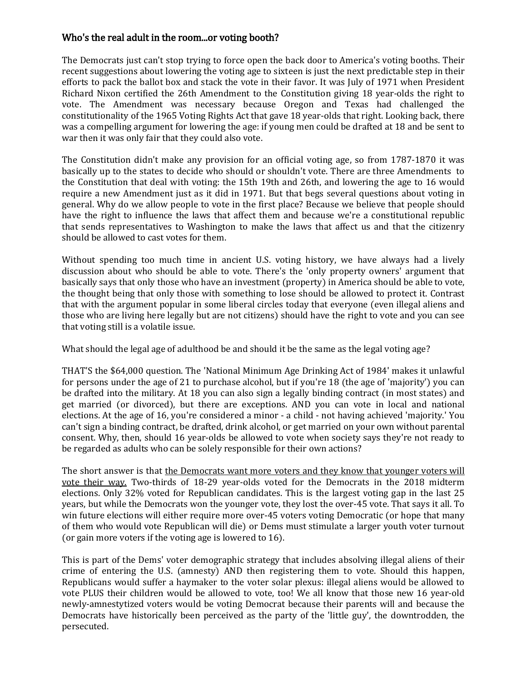## Who's the real adult in the room...or voting booth?

The Democrats just can't stop trying to force open the back door to America's voting booths. Their recent suggestions about lowering the voting age to sixteen is just the next predictable step in their efforts to pack the ballot box and stack the vote in their favor. It was July of 1971 when President Richard Nixon certified the 26th Amendment to the Constitution giving 18 year-olds the right to vote. The Amendment was necessary because Oregon and Texas had challenged the constitutionality of the 1965 Voting Rights Act that gave 18 year-olds that right. Looking back, there was a compelling argument for lowering the age: if young men could be drafted at 18 and be sent to war then it was only fair that they could also vote.

The Constitution didn't make any provision for an official voting age, so from 1787-1870 it was basically up to the states to decide who should or shouldn't vote. There are three Amendments to the Constitution that deal with voting: the 15th 19th and 26th, and lowering the age to 16 would require a new Amendment just as it did in 1971. But that begs several questions about voting in general. Why do we allow people to vote in the first place? Because we believe that people should have the right to influence the laws that affect them and because we're a constitutional republic that sends representatives to Washington to make the laws that affect us and that the citizenry should be allowed to cast votes for them.

Without spending too much time in ancient U.S. voting history, we have always had a lively discussion about who should be able to vote. There's the 'only property owners' argument that basically says that only those who have an investment (property) in America should be able to vote, the thought being that only those with something to lose should be allowed to protect it. Contrast that with the argument popular in some liberal circles today that everyone (even illegal aliens and those who are living here legally but are not citizens) should have the right to vote and you can see that voting still is a volatile issue.

What should the legal age of adulthood be and should it be the same as the legal voting age?

THAT'S the \$64,000 question. The 'National Minimum Age Drinking Act of 1984' makes it unlawful for persons under the age of 21 to purchase alcohol, but if you're 18 (the age of 'majority') you can be drafted into the military. At 18 you can also sign a legally binding contract (in most states) and get married (or divorced), but there are exceptions. AND you can vote in local and national elections. At the age of 16, you're considered a minor - a child - not having achieved 'majority.' You can't sign a binding contract, be drafted, drink alcohol, or get married on your own without parental consent. Why, then, should 16 year-olds be allowed to vote when society says they're not ready to be regarded as adults who can be solely responsible for their own actions?

The short answer is that the Democrats want more voters and they know that younger voters will vote their way. Two-thirds of 18-29 year-olds voted for the Democrats in the 2018 midterm elections. Only 32% voted for Republican candidates. This is the largest voting gap in the last 25 years, but while the Democrats won the younger vote, they lost the over-45 vote. That says it all. To win future elections will either require more over-45 voters voting Democratic (or hope that many of them who would vote Republican will die) or Dems must stimulate a larger youth voter turnout (or gain more voters if the voting age is lowered to 16).

This is part of the Dems' voter demographic strategy that includes absolving illegal aliens of their crime of entering the U.S. (amnesty) AND then registering them to vote. Should this happen, Republicans would suffer a haymaker to the voter solar plexus: illegal aliens would be allowed to vote PLUS their children would be allowed to vote, too! We all know that those new 16 year-old newly-amnestytized voters would be voting Democrat because their parents will and because the Democrats have historically been perceived as the party of the 'little guy', the downtrodden, the persecuted.